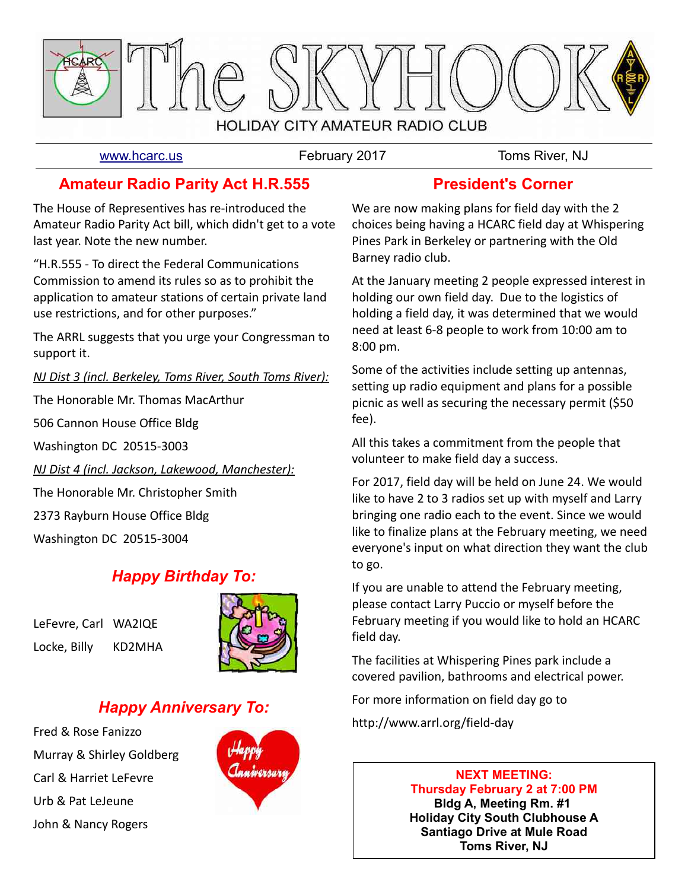

[www.hcarc.us](http://www.hcarc.us/) **February 2017** Toms River, NJ

### **Amateur Radio Parity Act H.R.555**

The House of Representives has re-introduced the Amateur Radio Parity Act bill, which didn't get to a vote last year. Note the new number.

"H.R.555 - To direct the Federal Communications Commission to amend its rules so as to prohibit the application to amateur stations of certain private land use restrictions, and for other purposes."

The ARRL suggests that you urge your Congressman to support it.

*NJ Dist 3 (incl. Berkeley, Toms River, South Toms River):*

The Honorable Mr. Thomas MacArthur

506 Cannon House Office Bldg

Washington DC 20515-3003

*NJ Dist 4 (incl. Jackson, Lakewood, Manchester):*

The Honorable Mr. Christopher Smith

2373 Rayburn House Office Bldg

Washington DC 20515-3004

## *Happy Birthday To:*

LeFevre, Carl WA2IQE Locke, Billy KD2MHA



## *Happy Anniversary To:*

Fred & Rose Fanizzo Murray & Shirley Goldberg Carl & Harriet LeFevre Urb & Pat LeJeune John & Nancy Rogers



### **President's Corner**

We are now making plans for field day with the 2 choices being having a HCARC field day at Whispering Pines Park in Berkeley or partnering with the Old Barney radio club.

At the January meeting 2 people expressed interest in holding our own field day. Due to the logistics of holding a field day, it was determined that we would need at least 6-8 people to work from 10:00 am to 8:00 pm.

Some of the activities include setting up antennas, setting up radio equipment and plans for a possible picnic as well as securing the necessary permit (\$50 fee).

All this takes a commitment from the people that volunteer to make field day a success.

For 2017, field day will be held on June 24. We would like to have 2 to 3 radios set up with myself and Larry bringing one radio each to the event. Since we would like to finalize plans at the February meeting, we need everyone's input on what direction they want the club to go.

If you are unable to attend the February meeting, please contact Larry Puccio or myself before the February meeting if you would like to hold an HCARC field day.

The facilities at Whispering Pines park include a covered pavilion, bathrooms and electrical power.

For more information on field day go to

http://www.arrl.org/field-day

#### **NEXT MEETING: Thursday February 2 at 7:00 PM Bldg A, Meeting Rm. #1 Holiday City South Clubhouse A**

**Santiago Drive at Mule Road Toms River, NJ**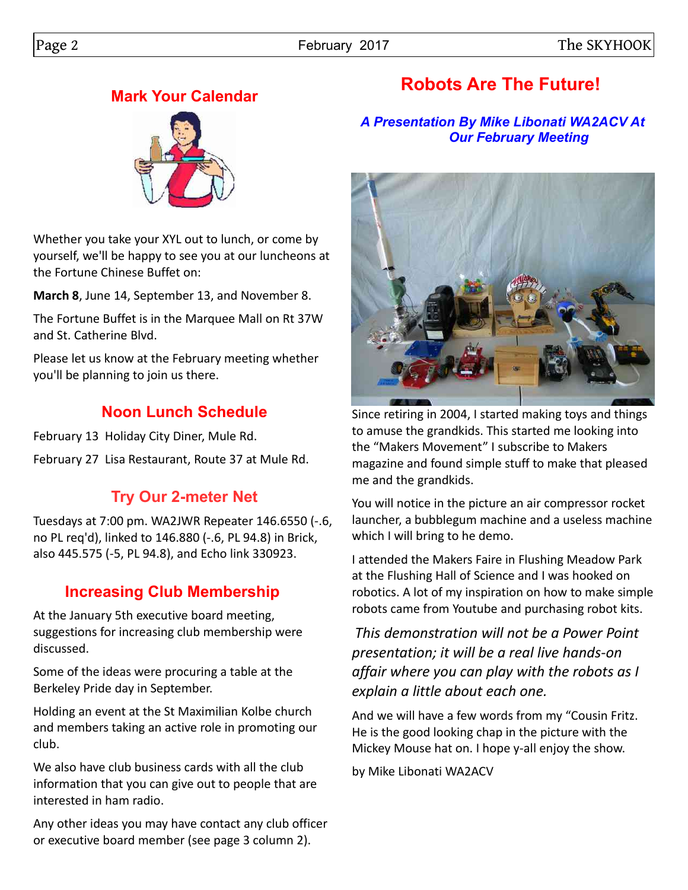## **Mark Your Calendar**



Whether you take your XYL out to lunch, or come by yourself, we'll be happy to see you at our luncheons at the Fortune Chinese Buffet on:

**March 8**, June 14, September 13, and November 8.

The Fortune Buffet is in the Marquee Mall on Rt 37W and St. Catherine Blvd.

Please let us know at the February meeting whether you'll be planning to join us there.

# **Noon Lunch Schedule**

February 13 Holiday City Diner, Mule Rd.

February 27 Lisa Restaurant, Route 37 at Mule Rd.

# **Try Our 2-meter Net**

Tuesdays at 7:00 pm. WA2JWR Repeater 146.6550 (-.6, no PL req'd), linked to 146.880 (-.6, PL 94.8) in Brick, also 445.575 (-5, PL 94.8), and Echo link 330923.

# **Increasing Club Membership**

At the January 5th executive board meeting, suggestions for increasing club membership were discussed.

Some of the ideas were procuring a table at the Berkeley Pride day in September.

Holding an event at the St Maximilian Kolbe church and members taking an active role in promoting our club.

We also have club business cards with all the club information that you can give out to people that are interested in ham radio.

Any other ideas you may have contact any club officer or executive board member (see page 3 column 2).

# **Robots Are The Future!**

#### *A Presentation By Mike Libonati WA2ACV At Our February Meeting*



Since retiring in 2004, I started making toys and things to amuse the grandkids. This started me looking into the "Makers Movement" I subscribe to Makers magazine and found simple stuff to make that pleased me and the grandkids.

You will notice in the picture an air compressor rocket launcher, a bubblegum machine and a useless machine which I will bring to he demo.

I attended the Makers Faire in Flushing Meadow Park at the Flushing Hall of Science and I was hooked on robotics. A lot of my inspiration on how to make simple robots came from Youtube and purchasing robot kits.

*This demonstration will not be a Power Point presentation; it will be a real live hands-on affair where you can play with the robots as I explain a little about each one.* 

And we will have a few words from my "Cousin Fritz. He is the good looking chap in the picture with the Mickey Mouse hat on. I hope y-all enjoy the show.

by Mike Libonati WA2ACV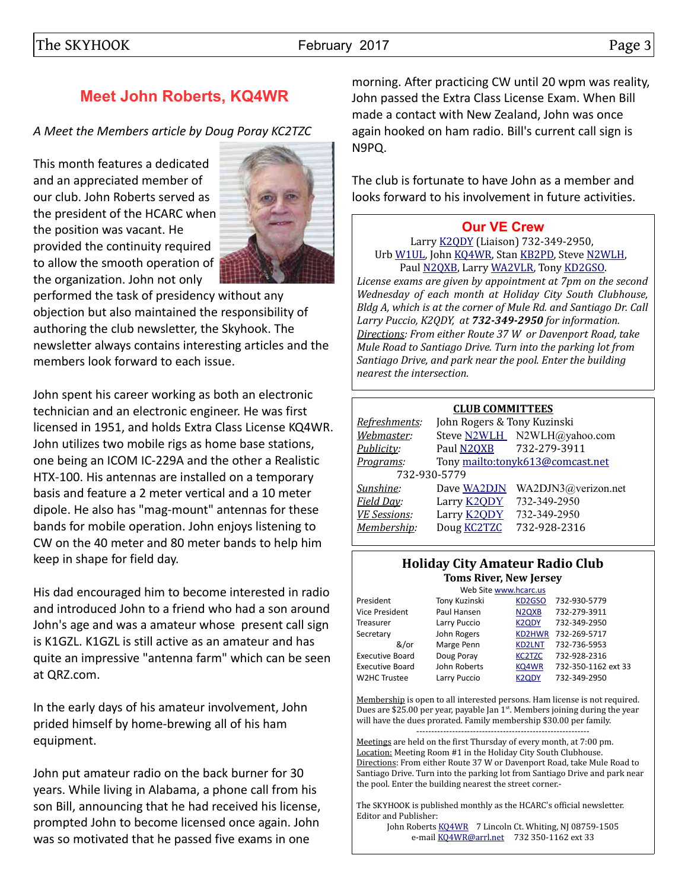## **Meet John Roberts, KQ4WR**

*A Meet the Members article by Doug Poray KC2TZC*

This month features a dedicated and an appreciated member of our club. John Roberts served as the president of the HCARC when the position was vacant. He provided the continuity required to allow the smooth operation of the organization. John not only



performed the task of presidency without any objection but also maintained the responsibility of authoring the club newsletter, the Skyhook. The newsletter always contains interesting articles and the members look forward to each issue.

John spent his career working as both an electronic technician and an electronic engineer. He was first licensed in 1951, and holds Extra Class License KQ4WR. John utilizes two mobile rigs as home base stations, one being an ICOM IC-229A and the other a Realistic HTX-100. His antennas are installed on a temporary basis and feature a 2 meter vertical and a 10 meter dipole. He also has "mag-mount" antennas for these bands for mobile operation. John enjoys listening to CW on the 40 meter and 80 meter bands to help him keep in shape for field day.

His dad encouraged him to become interested in radio and introduced John to a friend who had a son around John's age and was a amateur whose present call sign is K1GZL. K1GZL is still active as an amateur and has quite an impressive "antenna farm" which can be seen at QRZ.com.

In the early days of his amateur involvement, John prided himself by home-brewing all of his ham equipment.

John put amateur radio on the back burner for 30 years. While living in Alabama, a phone call from his son Bill, announcing that he had received his license, prompted John to become licensed once again. John was so motivated that he passed five exams in one

morning. After practicing CW until 20 wpm was reality, John passed the Extra Class License Exam. When Bill made a contact with New Zealand, John was once again hooked on ham radio. Bill's current call sign is N9PQ.

The club is fortunate to have John as a member and looks forward to his involvement in future activities.

#### **[Our VE Crew](mailto:lpuccio1@comcast.net?subject=VE)**

Larry [K2QDY](mailto:lpuccio1@comcast.net) (Liaison) 732-349-2950, Urb [W1UL,](mailto:urb@W1UL.com) John [KQ4WR,](mailto:kq4wr@arrl.net) Stan [KB2PD,](mailto:kb2pd@hotmail.com) Steve [N2WLH,](mailto:n2wlh@yahoo.com) Paul [N2QXB,](mailto:n2qxb@juno.com) Larry [WA2VLR,](mailto:lloscalz@optonline.net) Tony [KD2GSO.](mailto:tonyk613@comcast.net)

*License exams are given by appointment at 7pm on the second Wednesday of each month at Holiday City South Clubhouse, Bldg A, which is at the corner of Mule Rd. and Santiago Dr. Call Larry Puccio, K2QDY, at 732-349-2950 for information. Directions: From either Route 37 W or Davenport Road, take Mule Road to Santiago Drive. Turn into the parking lot from Santiago Drive, and park near the pool. Enter the building nearest the intersection.*

#### **CLUB COMMITTEES**

| Refreshments:       | John Rogers & Tony Kuzinski |                                  |  |  |  |
|---------------------|-----------------------------|----------------------------------|--|--|--|
| Webmaster:          |                             | Steve N2WLH N2WLH@yahoo.com      |  |  |  |
| Publicity:          | Paul N2QXB                  | 732-279-3911                     |  |  |  |
| Programs:           |                             | Tony mailto:tonyk613@comcast.net |  |  |  |
| 732-930-5779        |                             |                                  |  |  |  |
| Sunshine:           | Dave WA2DJN                 | WA2DJN3@verizon.net              |  |  |  |
| Field Day:          | Larry <b>K2ODY</b>          | 732-349-2950                     |  |  |  |
| <b>VE Sessions:</b> | Larry <b>K2QDY</b>          | 732-349-2950                     |  |  |  |
| Membership:         | Doug <b>KC2TZC</b>          | 732-928-2316                     |  |  |  |
|                     |                             |                                  |  |  |  |

#### **Holiday City Amateur Radio Club Toms River, New Jersey**

| Web Site www.hcarc.us  |               |                                |                     |  |  |
|------------------------|---------------|--------------------------------|---------------------|--|--|
| President              | Tony Kuzinski | KD2GSO                         | 732-930-5779        |  |  |
| <b>Vice President</b>  | Paul Hansen   | N <sub>2Q</sub> X <sub>B</sub> | 732-279-3911        |  |  |
| Treasurer              | Larry Puccio  | <b>K2QDY</b>                   | 732-349-2950        |  |  |
| Secretary              | John Rogers   | KD2HWR                         | 732-269-5717        |  |  |
| &/or                   | Marge Penn    | <b>KD2LNT</b>                  | 732-736-5953        |  |  |
| <b>Executive Board</b> | Doug Poray    | <b>KC2TZC</b>                  | 732-928-2316        |  |  |
| <b>Executive Board</b> | John Roberts  | KQ4WR                          | 732-350-1162 ext 33 |  |  |
| W2HC Trustee           | Larry Puccio  | K <sub>2</sub> ODY             | 732-349-2950        |  |  |

Membership is open to all interested persons. Ham license is not required. Dues are \$25.00 per year, payable Jan 1st. Members joining during the year will have the dues prorated. Family membership \$30.00 per family. ----------------------------------------------------------

Meetings are held on the first Thursday of every month, at 7:00 pm. Location: Meeting Room #1 in the Holiday City South Clubhouse. Directions: From either Route 37 W or Davenport Road, take Mule Road to Santiago Drive. Turn into the parking lot from Santiago Drive and park near the pool. Enter the building nearest the street corner.-

The SKYHOOK is published monthly as the HCARC's official newsletter. Editor and Publisher:

John Roberts [KQ4WR](mailto:kq4wr@arrl.net) 7 Lincoln Ct. Whiting, NJ 08759-1505 e-mail [KQ4WR@arrl.net](mailto:KQ4WR@arrl.net) 732 350-1162 ext 33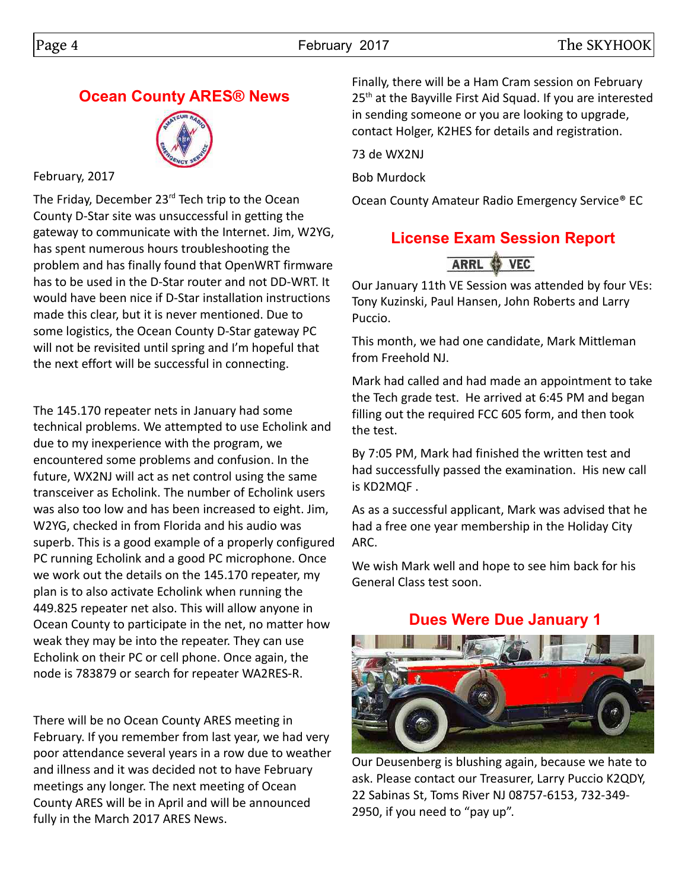## **Ocean County ARES® News**



#### February, 2017

The Friday, December 23<sup>rd</sup> Tech trip to the Ocean County D-Star site was unsuccessful in getting the gateway to communicate with the Internet. Jim, W2YG, has spent numerous hours troubleshooting the problem and has finally found that OpenWRT firmware has to be used in the D-Star router and not DD-WRT. It would have been nice if D-Star installation instructions made this clear, but it is never mentioned. Due to some logistics, the Ocean County D-Star gateway PC will not be revisited until spring and I'm hopeful that the next effort will be successful in connecting.

The 145.170 repeater nets in January had some technical problems. We attempted to use Echolink and due to my inexperience with the program, we encountered some problems and confusion. In the future, WX2NJ will act as net control using the same transceiver as Echolink. The number of Echolink users was also too low and has been increased to eight. Jim, W2YG, checked in from Florida and his audio was superb. This is a good example of a properly configured PC running Echolink and a good PC microphone. Once we work out the details on the 145.170 repeater, my plan is to also activate Echolink when running the 449.825 repeater net also. This will allow anyone in Ocean County to participate in the net, no matter how weak they may be into the repeater. They can use Echolink on their PC or cell phone. Once again, the node is 783879 or search for repeater WA2RES-R.

There will be no Ocean County ARES meeting in February. If you remember from last year, we had very poor attendance several years in a row due to weather and illness and it was decided not to have February meetings any longer. The next meeting of Ocean County ARES will be in April and will be announced fully in the March 2017 ARES News.

Finally, there will be a Ham Cram session on February 25<sup>th</sup> at the Bayville First Aid Squad. If you are interested in sending someone or you are looking to upgrade, contact Holger, K2HES for details and registration.

73 de WX2NJ

Bob Murdock

Ocean County Amateur Radio Emergency Service® EC

#### **License Exam Session Report** ARRL **O**  $VEC$

Our January 11th VE Session was attended by four VEs: Tony Kuzinski, Paul Hansen, John Roberts and Larry Puccio.

This month, we had one candidate, Mark Mittleman from Freehold NJ.

Mark had called and had made an appointment to take the Tech grade test. He arrived at 6:45 PM and began filling out the required FCC 605 form, and then took the test.

By 7:05 PM, Mark had finished the written test and had successfully passed the examination. His new call is KD2MQF .

As as a successful applicant, Mark was advised that he had a free one year membership in the Holiday City ARC.

We wish Mark well and hope to see him back for his General Class test soon.

## **Dues Were Due January 1**



Our Deusenberg is blushing again, because we hate to ask. Please contact our Treasurer, Larry Puccio K2QDY, 22 Sabinas St, Toms River NJ 08757-6153, 732-349- 2950, if you need to "pay up".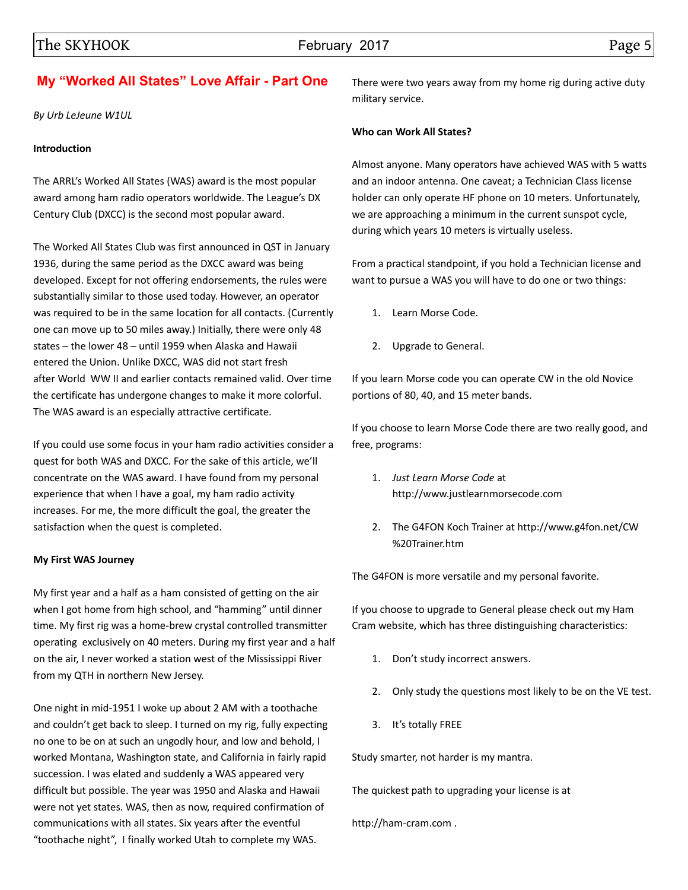#### **My "Worked All States" Love Affair - Part One**

*By Urb LeJeune W1UL*

#### **Introduction**

The ARRL's Worked All States (WAS) award is the most popular award among ham radio operators worldwide. The League's DX Century Club (DXCC) is the second most popular award.

The Worked All States Club was first announced in QST in January 1936, during the same period as the DXCC award was being developed. Except for not offering endorsements, the rules were substantially similar to those used today. However, an operator was required to be in the same location for all contacts. (Currently one can move up to 50 miles away.) Initially, there were only 48 states – the lower 48 – until 1959 when Alaska and Hawaii entered the Union. Unlike DXCC, WAS did not start fresh after World WW II and earlier contacts remained valid. Over time the certificate has undergone changes to make it more colorful. The WAS award is an especially attractive certificate.

If you could use some focus in your ham radio activities consider a quest for both WAS and DXCC. For the sake of this article, we'll concentrate on the WAS award. I have found from my personal experience that when I have a goal, my ham radio activity increases. For me, the more difficult the goal, the greater the satisfaction when the quest is completed.

#### **My First WAS Journey**

My first year and a half as a ham consisted of getting on the air when I got home from high school, and "hamming" until dinner time. My first rig was a home-brew crystal controlled transmitter operating exclusively on 40 meters. During my first year and a half on the air, I never worked a station west of the Mississippi River from my QTH in northern New Jersey.

One night in mid-1951 I woke up about 2 AM with a toothache and couldn't get back to sleep. I turned on my rig, fully expecting no one to be on at such an ungodly hour, and low and behold, I worked Montana, Washington state, and California in fairly rapid succession. I was elated and suddenly a WAS appeared very difficult but possible. The year was 1950 and Alaska and Hawaii were not yet states. WAS, then as now, required confirmation of communications with all states. Six years after the eventful "toothache night", I finally worked Utah to complete my WAS.

There were two years away from my home rig during active duty military service.

#### **Who can Work All States?**

Almost anyone. Many operators have achieved WAS with 5 watts and an indoor antenna. One caveat; a Technician Class license holder can only operate HF phone on 10 meters. Unfortunately, we are approaching a minimum in the current sunspot cycle, during which years 10 meters is virtually useless.

From a practical standpoint, if you hold a Technician license and want to pursue a WAS you will have to do one or two things:

- 1. Learn Morse Code.
- 2. Upgrade to General.

If you learn Morse code you can operate CW in the old Novice portions of 80, 40, and 15 meter bands.

If you choose to learn Morse Code there are two really good, and free, programs:

- 1. *Just Learn Morse Code* at http://www.justlearnmorsecode.com
- 2. The G4FON Koch Trainer at http://www.g4fon.net/CW %20Trainer.htm

The G4FON is more versatile and my personal favorite.

If you choose to upgrade to General please check out my Ham Cram website, which has three distinguishing characteristics:

- 1. Don't study incorrect answers.
- 2. Only study the questions most likely to be on the VE test.
- 3. It's totally FREE

Study smarter, not harder is my mantra.

The quickest path to upgrading your license is at

http://ham-cram.com .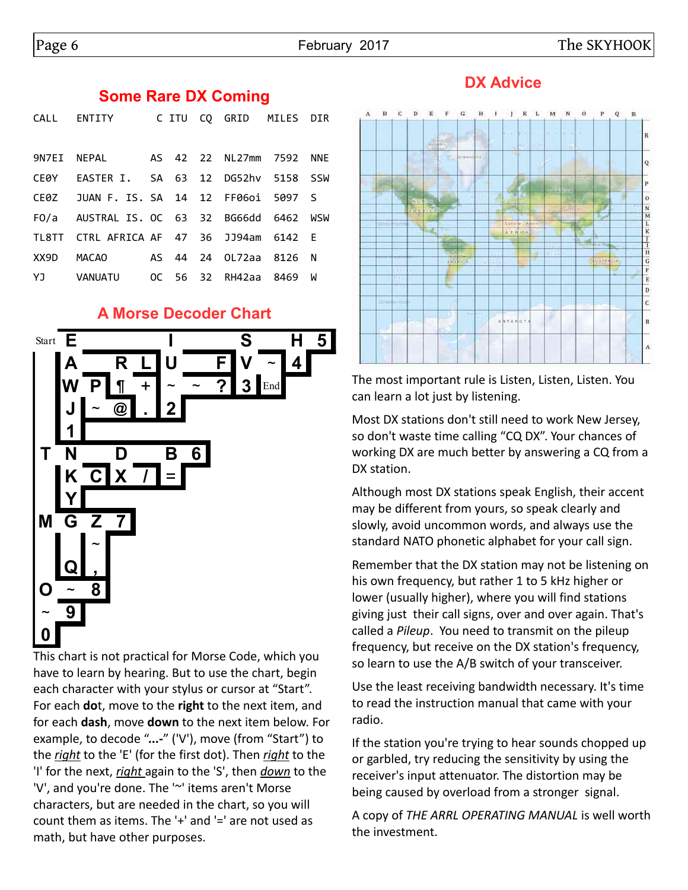#### **Some Rare DX Coming**

|      | CALL ENTITY CITU CQ GRID MILES DIR        |  |  |  |
|------|-------------------------------------------|--|--|--|
|      |                                           |  |  |  |
|      | 9N7EI NEPAL 4S 42 22 NL27mm 7592 NNE      |  |  |  |
|      | CE0Y EASTER I. SA 63 12 DG52hv 5158 SSW   |  |  |  |
|      | CE0Z JUAN F. IS. SA 14 12 FF0601 5097 S   |  |  |  |
|      | FO/a AUSTRAL IS. OC 63 32 BG66dd 6462 WSW |  |  |  |
|      | TL8TT CTRL AFRICA AF 47 36 JJ94am 6142 E  |  |  |  |
| XX9D |                                           |  |  |  |
|      | YJ VANUATU OC 56 32 RH42aa 8469 W         |  |  |  |

#### **A Morse Decoder Chart**



have to learn by hearing. But to use the chart, begin each character with your stylus or cursor at "Start". For each **do**t, move to the **right** to the next item, and for each **dash**, move **down** to the next item below. For example, to decode "**...-**" ('V'), move (from "Start") to the *right* to the 'E' (for the first dot). Then *right* to the 'I' for the next, *right* again to the 'S', then *down* to the 'V', and you're done. The '~' items aren't Morse characters, but are needed in the chart, so you will count them as items. The '+' and '=' are not used as math, but have other purposes.

## **DX Advice**



The most important rule is Listen, Listen, Listen. You can learn a lot just by listening.

Most DX stations don't still need to work New Jersey, so don't waste time calling "CQ DX". Your chances of working DX are much better by answering a CQ from a DX station.

Although most DX stations speak English, their accent may be different from yours, so speak clearly and slowly, avoid uncommon words, and always use the standard NATO phonetic alphabet for your call sign.

Remember that the DX station may not be listening on his own frequency, but rather 1 to 5 kHz higher or lower (usually higher), where you will find stations giving just their call signs, over and over again. That's called a *Pileup*. You need to transmit on the pileup frequency, but receive on the DX station's frequency, so learn to use the A/B switch of your transceiver.

Use the least receiving bandwidth necessary. It's time to read the instruction manual that came with your radio.

If the station you're trying to hear sounds chopped up or garbled, try reducing the sensitivity by using the receiver's input attenuator. The distortion may be being caused by overload from a stronger signal.

A copy of *THE ARRL OPERATING MANUAL* is well worth the investment.